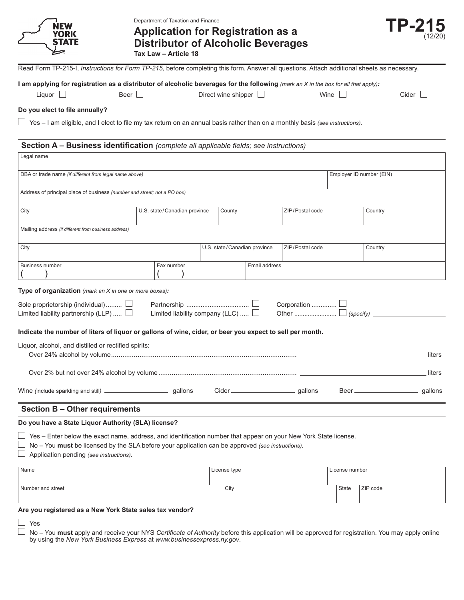| <b>YORK</b>                                                                                                                                                                                                                                                                                                    |      | Department of Taxation and Finance<br><b>Application for Registration as a</b><br><b>Distributor of Alcoholic Beverages</b><br>Tax Law - Article 18 |                              |               |                 |                          |          | <b>TP-215</b> |
|----------------------------------------------------------------------------------------------------------------------------------------------------------------------------------------------------------------------------------------------------------------------------------------------------------------|------|-----------------------------------------------------------------------------------------------------------------------------------------------------|------------------------------|---------------|-----------------|--------------------------|----------|---------------|
| Read Form TP-215-I, Instructions for Form TP-215, before completing this form. Answer all questions. Attach additional sheets as necessary.                                                                                                                                                                    |      |                                                                                                                                                     |                              |               |                 |                          |          |               |
| I am applying for registration as a distributor of alcoholic beverages for the following (mark an X in the box for all that apply):                                                                                                                                                                            |      |                                                                                                                                                     |                              |               |                 |                          |          |               |
| Liquor                                                                                                                                                                                                                                                                                                         | Beer |                                                                                                                                                     | Direct wine shipper $\Box$   |               |                 | Wine                     |          | $Cider$       |
| Do you elect to file annually?                                                                                                                                                                                                                                                                                 |      |                                                                                                                                                     |                              |               |                 |                          |          |               |
| $\Box$ Yes – I am eligible, and I elect to file my tax return on an annual basis rather than on a monthly basis (see instructions).                                                                                                                                                                            |      |                                                                                                                                                     |                              |               |                 |                          |          |               |
| Section A - Business identification (complete all applicable fields; see instructions)                                                                                                                                                                                                                         |      |                                                                                                                                                     |                              |               |                 |                          |          |               |
| Legal name                                                                                                                                                                                                                                                                                                     |      |                                                                                                                                                     |                              |               |                 |                          |          |               |
|                                                                                                                                                                                                                                                                                                                |      |                                                                                                                                                     |                              |               |                 |                          |          |               |
| DBA or trade name (if different from legal name above)                                                                                                                                                                                                                                                         |      |                                                                                                                                                     |                              |               |                 | Employer ID number (EIN) |          |               |
| Address of principal place of business (number and street; not a PO box)                                                                                                                                                                                                                                       |      |                                                                                                                                                     |                              |               |                 |                          |          |               |
| City                                                                                                                                                                                                                                                                                                           |      | U.S. state/Canadian province                                                                                                                        | County                       |               | ZIP/Postal code |                          | Country  |               |
| Mailing address (if different from business address)                                                                                                                                                                                                                                                           |      |                                                                                                                                                     |                              |               |                 |                          |          |               |
|                                                                                                                                                                                                                                                                                                                |      |                                                                                                                                                     |                              |               |                 |                          |          |               |
| City                                                                                                                                                                                                                                                                                                           |      |                                                                                                                                                     | U.S. state/Canadian province |               | ZIP/Postal code |                          | Country  |               |
| <b>Business number</b>                                                                                                                                                                                                                                                                                         |      | Fax number                                                                                                                                          |                              | Email address |                 |                          |          |               |
|                                                                                                                                                                                                                                                                                                                |      |                                                                                                                                                     |                              |               |                 |                          |          |               |
| Type of organization (mark an X in one or more boxes):<br>Sole proprietorship (individual) [<br>Limited liability partnership (LLP) $\Box$<br>Indicate the number of liters of liquor or gallons of wine, cider, or beer you expect to sell per month.<br>Liquor, alcohol, and distilled or rectified spirits: |      | Limited liability company (LLC)                                                                                                                     |                              |               | Corporation  L  |                          |          |               |
|                                                                                                                                                                                                                                                                                                                |      |                                                                                                                                                     |                              |               |                 |                          |          | liters        |
|                                                                                                                                                                                                                                                                                                                |      |                                                                                                                                                     |                              |               |                 |                          |          | liters        |
|                                                                                                                                                                                                                                                                                                                |      |                                                                                                                                                     |                              |               | Cider qallons   |                          |          |               |
| <b>Section B - Other requirements</b>                                                                                                                                                                                                                                                                          |      |                                                                                                                                                     |                              |               |                 |                          |          |               |
| Do you have a State Liquor Authority (SLA) license?                                                                                                                                                                                                                                                            |      |                                                                                                                                                     |                              |               |                 |                          |          |               |
| Yes - Enter below the exact name, address, and identification number that appear on your New York State license.<br>No - You must be licensed by the SLA before your application can be approved (see instructions).<br>Application pending (see instructions).                                                |      |                                                                                                                                                     |                              |               |                 |                          |          |               |
| Name                                                                                                                                                                                                                                                                                                           |      |                                                                                                                                                     | License type                 |               |                 | License number           |          |               |
| Number and street                                                                                                                                                                                                                                                                                              |      |                                                                                                                                                     | City                         |               |                 | State                    | ZIP code |               |
| Are you registered as a New York State sales tax vendor?                                                                                                                                                                                                                                                       |      |                                                                                                                                                     |                              |               |                 |                          |          |               |
| Yes                                                                                                                                                                                                                                                                                                            |      |                                                                                                                                                     |                              |               |                 |                          |          |               |

No – You **must** apply and receive your NYS *Certificate of Authority* before this application will be approved for registration. You may apply online by using the *New York Business Express* at *www.businessexpress.ny.gov*.